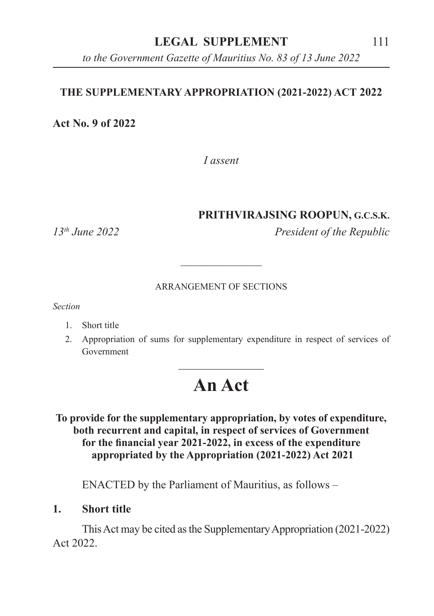### **LEGAL SUPPLEMENT** 111

*to the Government Gazette of Mauritius No. 83 of 13 June 2022*

### **THE SUPPLEMENTARY APPROPRIATION (2021-2022) ACT 2022**

**Act No. 9 of 2022**

*I assent*

### **PRITHVIRAJSING ROOPUN, G.C.S.K.**

*13th June 2022 President of the Republic*

#### ARRANGEMENT OF SECTIONS

\_\_\_\_\_\_\_\_\_\_\_\_\_\_\_

*Section*

- 1. Short title
- 2. Appropriation of sums for supplementary expenditure in respect of services of Government

# **An Act**

 $\overline{\phantom{a}}$  , where  $\overline{\phantom{a}}$ 

### **To provide for the supplementary appropriation, by votes of expenditure, both recurrent and capital, in respect of services of Government for the financial year 2021-2022, in excess of the expenditure appropriated by the Appropriation (2021-2022) Act 2021**

ENACTED by the Parliament of Mauritius, as follows –

**1. Short title**

This Act may be cited as the Supplementary Appropriation (2021-2022) Act 2022.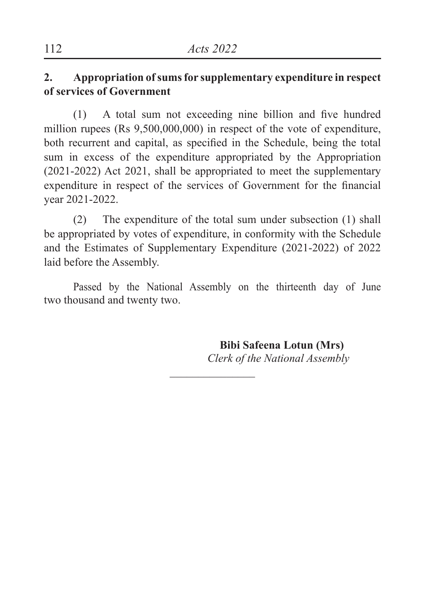## **2. Appropriation of sums for supplementary expenditure in respect of services of Government**

(1) A total sum not exceeding nine billion and five hundred million rupees (Rs 9,500,000,000) in respect of the vote of expenditure, both recurrent and capital, as specified in the Schedule, being the total sum in excess of the expenditure appropriated by the Appropriation (2021-2022) Act 2021, shall be appropriated to meet the supplementary expenditure in respect of the services of Government for the financial year 2021-2022.

(2) The expenditure of the total sum under subsection (1) shall be appropriated by votes of expenditure, in conformity with the Schedule and the Estimates of Supplementary Expenditure (2021-2022) of 2022 laid before the Assembly.

Passed by the National Assembly on the thirteenth day of June two thousand and twenty two.

 $\overline{\phantom{a}}$  , where  $\overline{\phantom{a}}$ 

 **Bibi Safeena Lotun (Mrs)** *Clerk of the National Assembly*